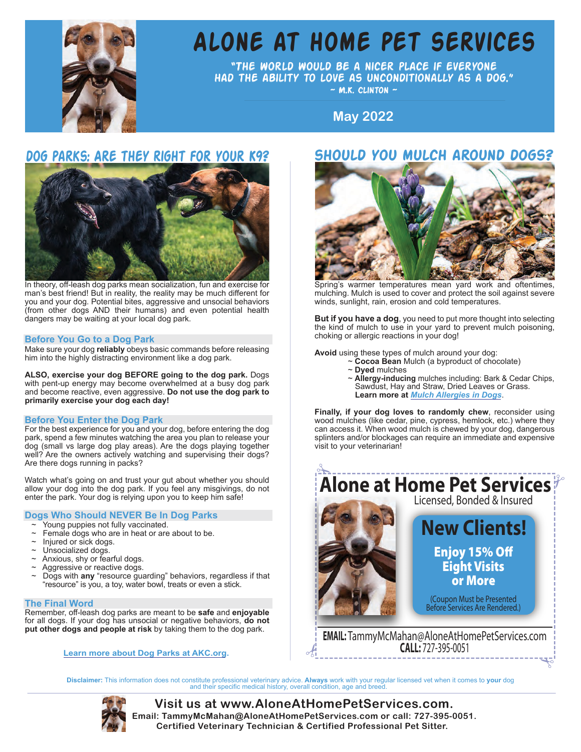

# **[Alone at home pet services](https://aloneathomepetservices.com/)**

"The world would be a nicer place if everyone had the ability to love as unconditionally as a dog."  $~\sim$  M.K. CLINTON  $~\sim$ 

**October 2017 May 2022**

## **dog parks: Are they right for your K9? should you mulch around dogs?**



In theory, off-leash dog parks mean socialization, fun and exercise for man's best friend! But in reality, the reality may be much different for you and your dog. Potential bites, aggressive and unsocial behaviors (from other dogs AND their humans) and even potential health dangers may be waiting at your local dog park.

## **Before You Go to a Dog Park**

Make sure your dog **reliably** obeys basic commands before releasing him into the highly distracting environment like a dog park.

**ALSO, exercise your dog BEFORE going to the dog park.** Dogs with pent-up energy may become overwhelmed at a busy dog park and become reactive, even aggressive. **Do not use the dog park to primarily exercise your dog each day!**

## **Before You Enter the Dog Park**

For the best experience for you and your dog, before entering the dog park, spend a few minutes watching the area you plan to release your dog (small vs large dog play areas). Are the dogs playing together well? Are the owners actively watching and supervising their dogs? Are there dogs running in packs?

Watch what's going on and trust your gut about whether you should allow your dog into the dog park. If you feel any misgivings, do not enter the park. Your dog is relying upon you to keep him safe!

## **Dogs Who Should NEVER Be In Dog Parks**

- Young puppies not fully vaccinated.
- Female dogs who are in heat or are about to be.
- Injured or sick dogs.
- Unsocialized dogs.
- Anxious, shy or fearful dogs.
- Aggressive or reactive dogs.
- ~ Dogs with **any** "resource guarding" behaviors, regardless if that "resource" is you, a toy, water bowl, treats or even a stick.

### **The Final Word**

Remember, off-leash dog parks are meant to be **safe** and **enjoyable**  for all dogs. If your dog has unsocial or negative behaviors, **do not put other dogs and people at risk** by taking them to the dog park.

**[Learn more about Dog Parks at AKC.org.](https://www.akc.org/expert-advice/training/dog-park-etiquette-tips/)** 



Spring's warmer temperatures mean yard work and oftentimes, mulching. Mulch is used to cover and protect the soil against severe winds, sunlight, rain, erosion and cold temperatures.

**But if you have a dog**, you need to put more thought into selecting the kind of mulch to use in your yard to prevent mulch poisoning, choking or allergic reactions in your dog!

**Avoid** using these types of mulch around your dog:

- ~ **Cocoa Bean** Mulch (a byproduct of chocolate)
- ~ **Dyed** mulches
- ~ **Allergy-inducing** mulches including: Bark & Cedar Chips, Sawdust, Hay and Straw, Dried Leaves or Grass. **Learn more at** *[Mulch Allergies in Dogs](https://wagwalking.com/condition/mulch-allergies)*.

**Finally, if your dog loves to randomly chew**, reconsider using wood mulches (like cedar, pine, cypress, hemlock, etc.) where they can access it. When wood mulch is chewed by your dog, dangerous splinters and/or blockages can require an immediate and expensive visit to your veterinarian!



Disclaimer: This information does not constitute professional veterinary advice. Always work with your regular licensed vet when it comes to your dog<br>and their specific medical history, overall condition, age and breed.



**Certified Veterinary Technician & Certified Professional Pet Sitter. [Visit us at www.AloneAtHomePetServices.com.](https://aloneathomepetservices.com/) [E](https://aloneathomepetservices.com/)mail: [TammyMcMahan@AloneAtHomePetServices.com](mailto:TammyMcMahan@AloneAtHomePetServices.com) or [call: 727-395-0051.](tel:7273950051)**